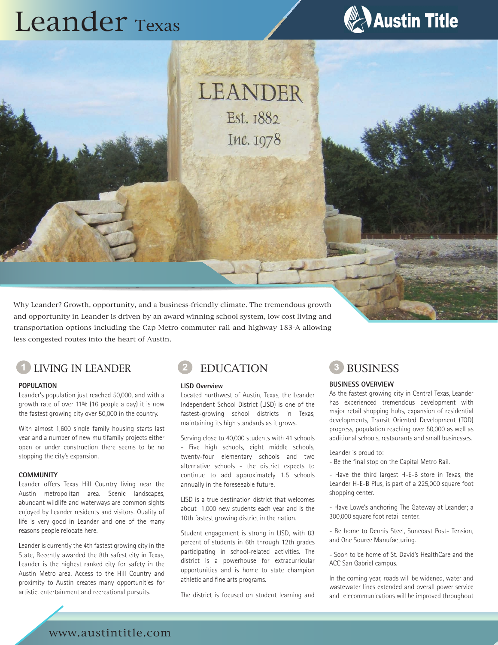# Leander Texas



LEANDER Est. 1882 Inc. 1978

Why Leander? Growth, opportunity, and a business-friendly climate. The tremendous growth and opportunity in Leander is driven by an award winning school system, low cost living and transportation options including the Cap Metro commuter rail and highway 183-A allowing less congested routes into the heart of Austin.



#### **POPULATION**

Leander's population just reached 50,000, and with a growth rate of over 11% (16 people a day) it is now the fastest growing city over 50,000 in the country.

With almost 1,600 single family housing starts last year and a number of new multifamily projects either open or under construction there seems to be no stopping the city's expansion.

#### **COMMUNITY**

Leander offers Texas Hill Country living near the Austin metropolitan area. Scenic landscapes, abundant wildlife and waterways are common sights enjoyed by Leander residents and visitors. Quality of life is very good in Leander and one of the many reasons people relocate here.

Leander is currently the 4th fastest growing city in the State, Recently awarded the 8th safest city in Texas, Leander is the highest ranked city for safety in the Austin Metro area. Access to the Hill Country and proximity to Austin creates many opportunities for artistic, entertainment and recreational pursuits.



#### **LISD Overview**

Located northwest of Austin, Texas, the Leander Independent School District (LISD) is one of the fastest-growing school districts in Texas, maintaining its high standards as it grows.

Serving close to 40,000 students with 41 schools - Five high schools, eight middle schools, twenty-four elementary schools and two alternative schools - the district expects to continue to add approximately 1.5 schools annually in the foreseeable future.

LISD is a true destination district that welcomes about 1,000 new students each year and is the 10th fastest growing district in the nation.

Student engagement is strong in LISD, with 83 percent of students in 6th through 12th grades participating in school-related activities. The district is a powerhouse for extracurricular opportunities and is home to state champion athletic and fine arts programs.

The district is focused on student learning and

#### **BUSINESS OVERVIEW**

As the fastest growing city in Central Texas, Leander has experienced tremendous development with major retail shopping hubs, expansion of residential developments, Transit Oriented Development (TOD) progress, population reaching over 50,000 as well as additional schools, restaurants and small businesses.

#### Leander is proud to:

- Be the final stop on the Capital Metro Rail.

- Have the third largest H-E-B store in Texas, the Leander H-E-B Plus, is part of a 225,000 square foot shopping center.

- Have Lowe's anchoring The Gateway at Leander; a 300,000 square foot retail center.

- Be home to Dennis Steel, Suncoast Post- Tension, and One Source Manufacturing.

- Soon to be home of St. David's HealthCare and the ACC San Gabriel campus.

In the coming year, roads will be widened, water and wastewater lines extended and overall power service and telecommunications will be improved throughout